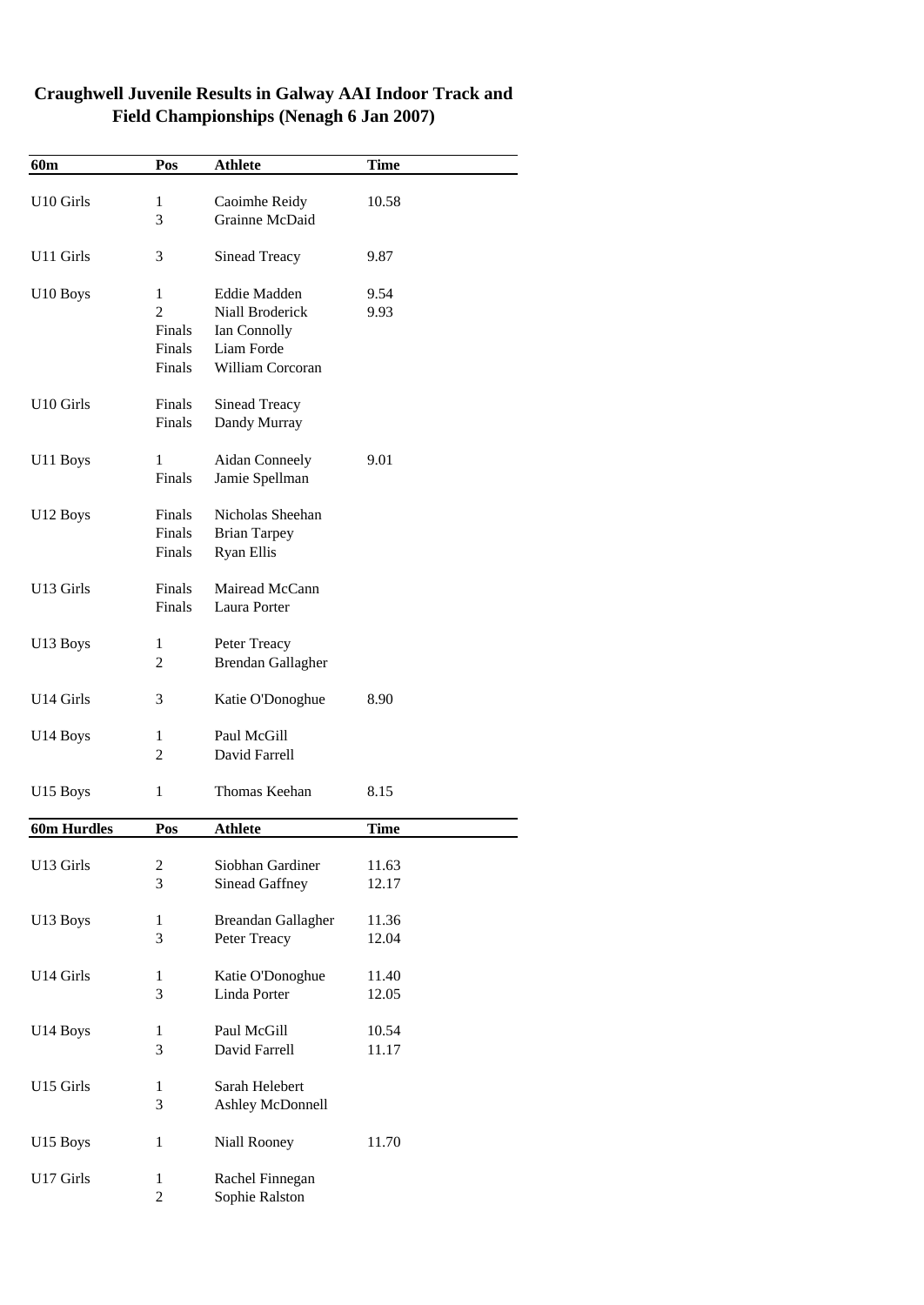| 60 <sub>m</sub> | Pos                                               | <b>Athlete</b>                                                                    | <b>Time</b>    |
|-----------------|---------------------------------------------------|-----------------------------------------------------------------------------------|----------------|
| U10 Girls       | 1<br>3                                            | Caoimhe Reidy<br>Grainne McDaid                                                   | 10.58          |
| U11 Girls       | 3                                                 | Sinead Treacy                                                                     | 9.87           |
| U10 Boys        | 1<br>$\overline{c}$<br>Finals<br>Finals<br>Finals | Eddie Madden<br>Niall Broderick<br>Ian Connolly<br>Liam Forde<br>William Corcoran | 9.54<br>9.93   |
| U10 Girls       | Finals<br>Finals                                  | Sinead Treacy<br>Dandy Murray                                                     |                |
| U11 Boys        | 1<br>Finals                                       | <b>Aidan Conneely</b><br>Jamie Spellman                                           | 9.01           |
| U12 Boys        | Finals<br>Finals<br>Finals                        | Nicholas Sheehan<br><b>Brian Tarpey</b><br><b>Ryan Ellis</b>                      |                |
| U13 Girls       | Finals<br>Finals                                  | Mairead McCann<br>Laura Porter                                                    |                |
| U13 Boys        | 1<br>$\overline{c}$                               | Peter Treacy<br>Brendan Gallagher                                                 |                |
| U14 Girls       | 3                                                 | Katie O'Donoghue                                                                  | 8.90           |
| U14 Boys        | 1<br>$\overline{2}$                               | Paul McGill<br>David Farrell                                                      |                |
| U15 Boys        | $\mathbf{1}$                                      | Thomas Keehan                                                                     | 8.15           |
| 60m Hurdles     | Pos                                               | <b>Athlete</b>                                                                    | <b>Time</b>    |
| U13 Girls       | 2<br>3                                            | Siobhan Gardiner<br>Sinead Gaffney                                                | 11.63<br>12.17 |
| U13 Boys        | $\mathbf{1}$<br>3                                 | Breandan Gallagher<br>Peter Treacy                                                | 11.36<br>12.04 |
| U14 Girls       | 1<br>3                                            | Katie O'Donoghue<br>Linda Porter                                                  | 11.40<br>12.05 |
| U14 Boys        | 1<br>3                                            | Paul McGill<br>David Farrell                                                      | 10.54<br>11.17 |
| U15 Girls       | $\mathbf{1}$<br>3                                 | Sarah Helebert<br>Ashley McDonnell                                                |                |
| U15 Boys        | $\mathbf{1}$                                      | Niall Rooney                                                                      | 11.70          |
| U17 Girls       | $\mathbf{1}$<br>$\overline{c}$                    | Rachel Finnegan<br>Sophie Ralston                                                 |                |

## **Craughwell Juvenile Results in Galway AAI Indoor Track and Field Championships (Nenagh 6 Jan 2007)**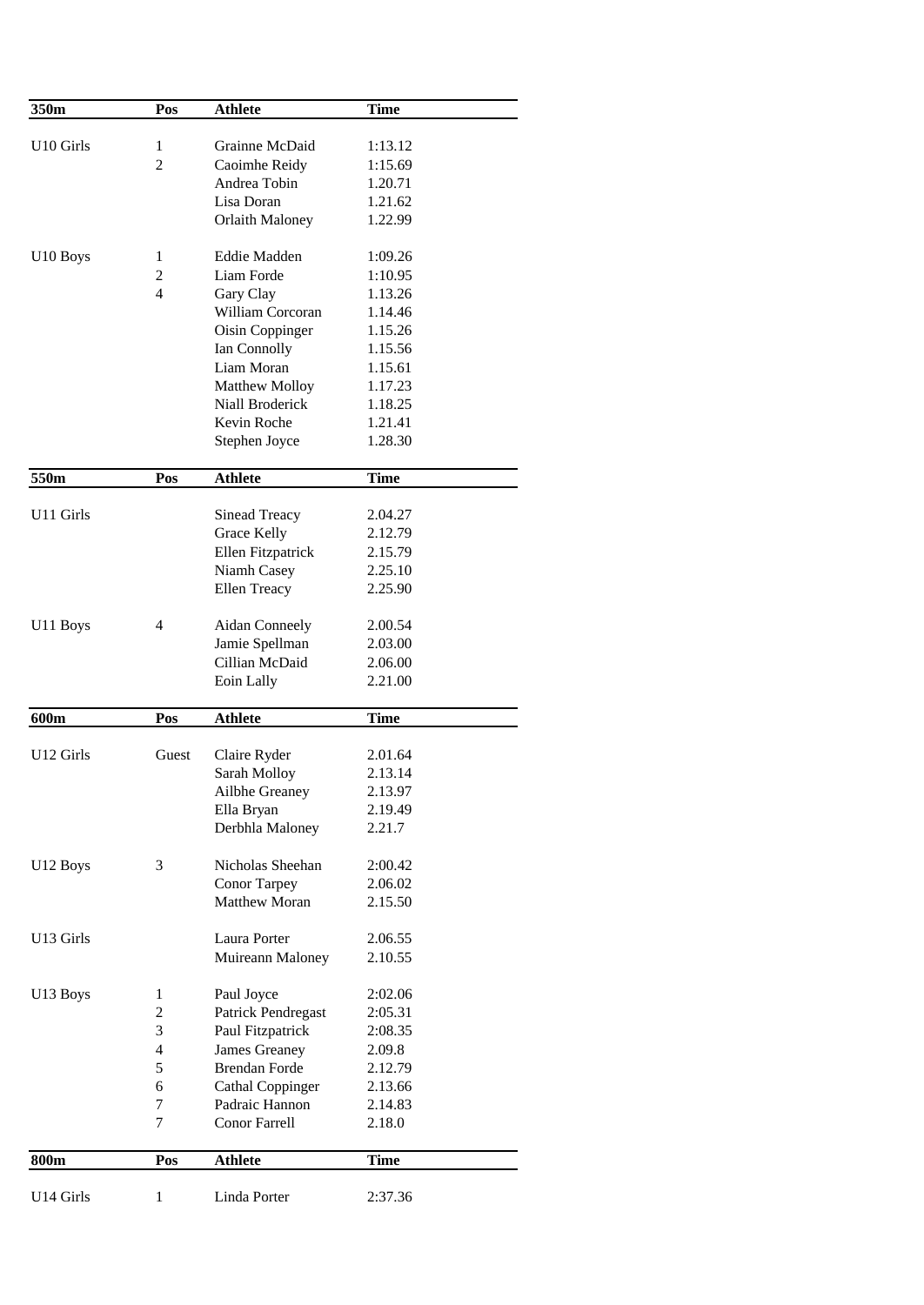| 350m                  | Pos                     | <b>Athlete</b>         | <b>Time</b> |
|-----------------------|-------------------------|------------------------|-------------|
|                       |                         |                        |             |
| U <sub>10</sub> Girls | 1                       | Grainne McDaid         | 1:13.12     |
|                       | $\overline{c}$          | Caoimhe Reidy          | 1:15.69     |
|                       |                         | Andrea Tobin           | 1.20.71     |
|                       |                         | Lisa Doran             | 1.21.62     |
|                       |                         | <b>Orlaith Maloney</b> | 1.22.99     |
| U <sub>10</sub> Boys  | 1                       | Eddie Madden           | 1:09.26     |
|                       | $\overline{c}$          | Liam Forde             | 1:10.95     |
|                       | $\overline{4}$          | Gary Clay              | 1.13.26     |
|                       |                         | William Corcoran       | 1.14.46     |
|                       |                         | Oisin Coppinger        | 1.15.26     |
|                       |                         | Ian Connolly           | 1.15.56     |
|                       |                         | Liam Moran             | 1.15.61     |
|                       |                         | Matthew Molloy         | 1.17.23     |
|                       |                         | Niall Broderick        | 1.18.25     |
|                       |                         | Kevin Roche            | 1.21.41     |
|                       |                         | Stephen Joyce          | 1.28.30     |
|                       |                         |                        |             |
| 550m                  | Pos                     | <b>Athlete</b>         | <b>Time</b> |
| U11 Girls             |                         | Sinead Treacy          | 2.04.27     |
|                       |                         | Grace Kelly            | 2.12.79     |
|                       |                         | Ellen Fitzpatrick      | 2.15.79     |
|                       |                         | Niamh Casey            | 2.25.10     |
|                       |                         | Ellen Treacy           | 2.25.90     |
| U11 Boys              | 4                       | Aidan Conneely         | 2.00.54     |
|                       |                         | Jamie Spellman         | 2.03.00     |
|                       |                         | Cillian McDaid         | 2.06.00     |
|                       |                         | Eoin Lally             | 2.21.00     |
|                       |                         |                        |             |
| 600m                  | Pos                     | <b>Athlete</b>         | <b>Time</b> |
| U12 Girls             | Guest                   | Claire Ryder           | 2.01.64     |
|                       |                         | Sarah Molloy           | 2.13.14     |
|                       |                         | Ailbhe Greaney         | 2.13.97     |
|                       |                         | Ella Bryan             | 2.19.49     |
|                       |                         | Derbhla Maloney        | 2.21.7      |
| U12 Boys              | 3                       | Nicholas Sheehan       | 2:00.42     |
|                       |                         | <b>Conor Tarpey</b>    | 2.06.02     |
|                       |                         | <b>Matthew Moran</b>   | 2.15.50     |
|                       |                         |                        |             |
| U13 Girls             |                         | Laura Porter           | 2.06.55     |
|                       |                         | Muireann Maloney       | 2.10.55     |
| U13 Boys              | 1                       | Paul Joyce             | 2:02.06     |
|                       | $\mathbf{2}$            | Patrick Pendregast     | 2:05.31     |
|                       | 3                       | Paul Fitzpatrick       | 2:08.35     |
|                       | $\overline{\mathbf{4}}$ | James Greaney          | 2.09.8      |
|                       | 5                       | <b>Brendan Forde</b>   | 2.12.79     |
|                       | 6                       | Cathal Coppinger       | 2.13.66     |
|                       | 7                       | Padraic Hannon         | 2.14.83     |
|                       | 7                       | Conor Farrell          | 2.18.0      |
| 800m                  | Pos                     | <b>Athlete</b>         | <b>Time</b> |
|                       |                         |                        |             |
| U14 Girls             | 1                       | Linda Porter           | 2:37.36     |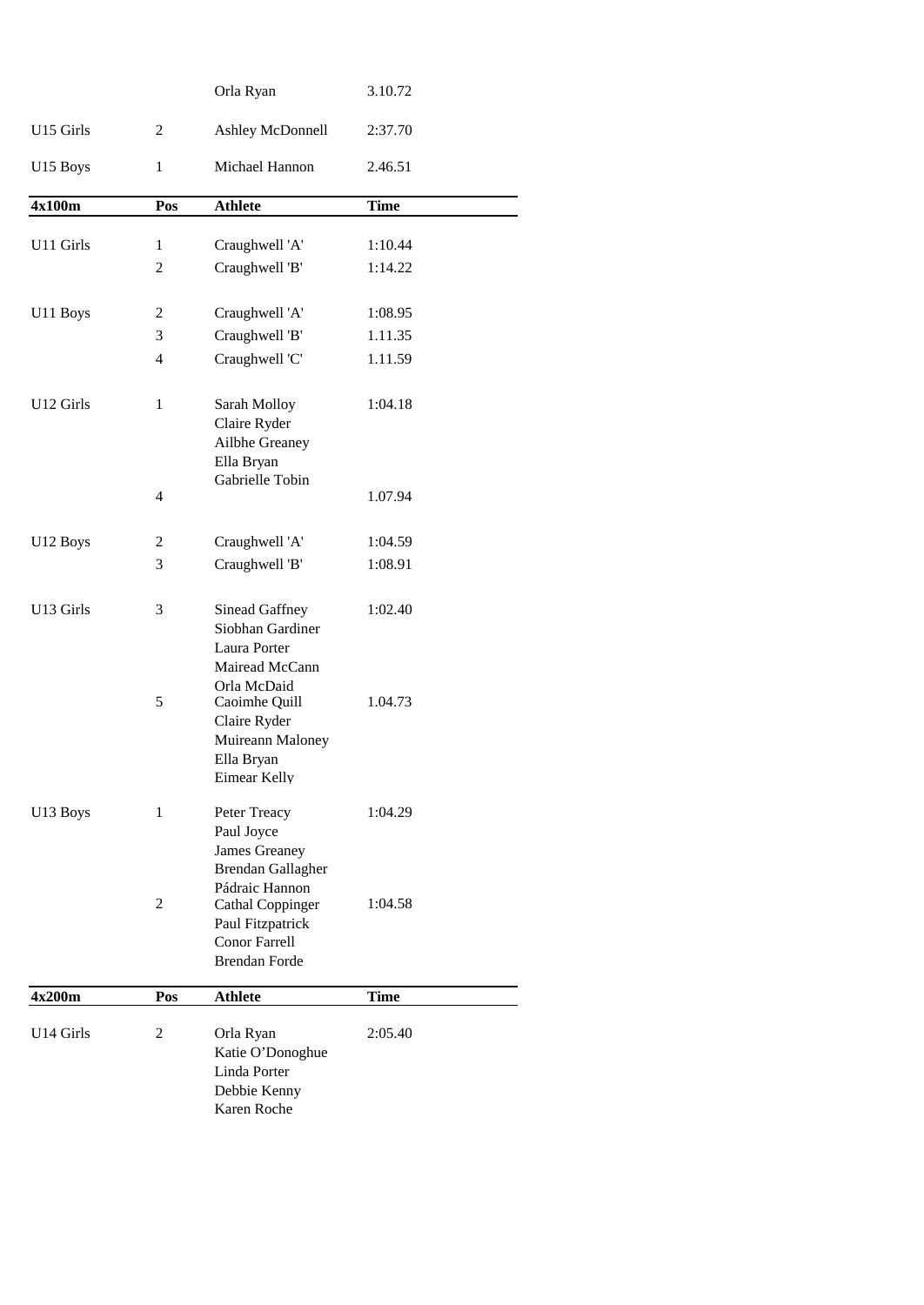|           |                | Orla Ryan                                                                            | 3.10.72     |  |
|-----------|----------------|--------------------------------------------------------------------------------------|-------------|--|
| U15 Girls | 2              | Ashley McDonnell                                                                     | 2:37.70     |  |
| U15 Boys  | 1              | Michael Hannon                                                                       | 2.46.51     |  |
| 4x100m    | Pos            | <b>Athlete</b>                                                                       | <b>Time</b> |  |
| U11 Girls | 1              | Craughwell 'A'                                                                       | 1:10.44     |  |
|           | $\overline{c}$ | Craughwell 'B'                                                                       | 1:14.22     |  |
| U11 Boys  | 2              | Craughwell 'A'                                                                       | 1:08.95     |  |
|           | 3              | Craughwell 'B'                                                                       | 1.11.35     |  |
|           | 4              | Craughwell 'C'                                                                       | 1.11.59     |  |
| U12 Girls | 1              | Sarah Molloy<br>Claire Ryder<br>Ailbhe Greaney<br>Ella Bryan                         | 1:04.18     |  |
|           | $\overline{4}$ | Gabrielle Tobin                                                                      | 1.07.94     |  |
| U12 Boys  | 2              | Craughwell 'A'                                                                       | 1:04.59     |  |
|           | 3              | Craughwell 'B'                                                                       | 1:08.91     |  |
| U13 Girls | 3              | Sinead Gaffney<br>Siobhan Gardiner<br>Laura Porter<br>Mairead McCann<br>Orla McDaid  | 1:02.40     |  |
|           | 5              | Caoimhe Quill<br>Claire Ryder<br>Muireann Maloney<br>Ella Bryan<br>Eimear Kelly      | 1.04.73     |  |
| U13 Boys  | 1              | Peter Treacy<br>Paul Joyce<br>James Greaney<br>Brendan Gallagher<br>Pádraic Hannon   | 1:04.29     |  |
|           | 2              | Cathal Coppinger<br>Paul Fitzpatrick<br><b>Conor Farrell</b><br><b>Brendan Forde</b> | 1:04.58     |  |
| 4x200m    | Pos            | <b>Athlete</b>                                                                       | Time        |  |
| U14 Girls | 2              | Orla Ryan<br>Katie O'Donoghue<br>Linda Porter<br>Debbie Kenny<br>Karen Roche         | 2:05.40     |  |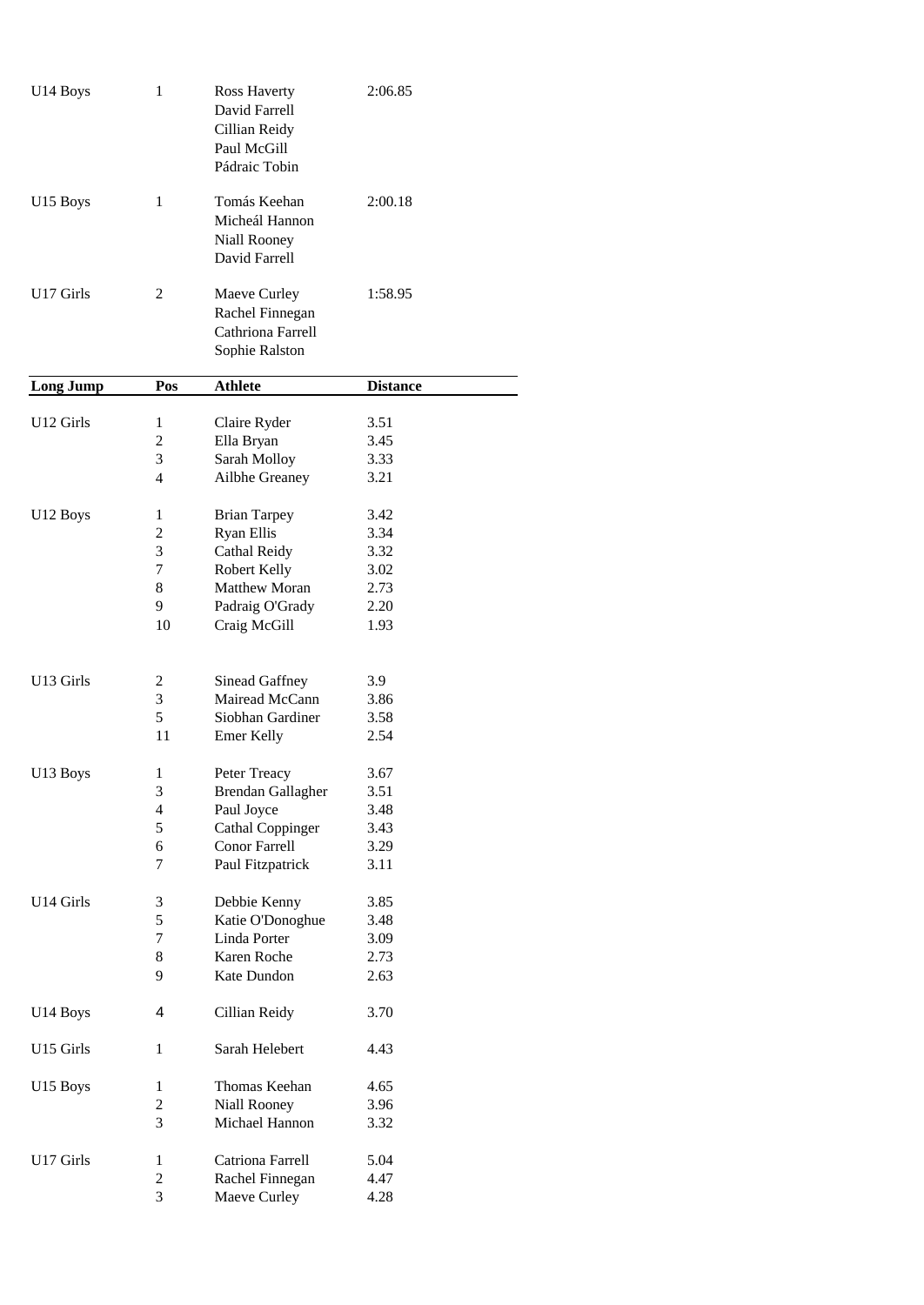| U14 Boys             | 1                       | Ross Haverty<br>David Farrell<br>Cillian Reidy<br>Paul McGill<br>Pádraic Tobin | 2:06.85         |
|----------------------|-------------------------|--------------------------------------------------------------------------------|-----------------|
| U <sub>15</sub> Boys | 1                       | Tomás Keehan<br>Micheál Hannon<br>Niall Rooney<br>David Farrell                | 2:00.18         |
| U17 Girls            | 2                       | Maeve Curley<br>Rachel Finnegan<br>Cathriona Farrell<br>Sophie Ralston         | 1:58.95         |
| Long Jump            | Pos                     | <b>Athlete</b>                                                                 | <b>Distance</b> |
| U12 Girls            | 1                       | Claire Ryder                                                                   | 3.51            |
|                      | 2                       | Ella Bryan                                                                     | 3.45            |
|                      | 3                       | Sarah Molloy                                                                   | 3.33            |
|                      | 4                       | Ailbhe Greaney                                                                 | 3.21            |
| U12 Boys             | 1                       | <b>Brian Tarpey</b>                                                            | 3.42            |
|                      | 2                       | <b>Ryan Ellis</b>                                                              | 3.34            |
|                      | 3                       | Cathal Reidy                                                                   | 3.32            |
|                      | 7                       | Robert Kelly                                                                   | 3.02            |
|                      | 8                       | Matthew Moran                                                                  | 2.73            |
|                      | 9                       | Padraig O'Grady                                                                | 2.20            |
|                      | 10                      | Craig McGill                                                                   | 1.93            |
| U13 Girls            | 2                       | Sinead Gaffney                                                                 | 3.9             |
|                      | 3                       | Mairead McCann                                                                 | 3.86            |
|                      | 5                       | Siobhan Gardiner                                                               | 3.58            |
|                      | 11                      | Emer Kelly                                                                     | 2.54            |
| U13 Boys             | 1                       | Peter Treacy                                                                   | 3.67            |
|                      | 3                       | <b>Brendan Gallagher</b>                                                       | 3.51            |
|                      | 4                       | Paul Joyce                                                                     | 3.48            |
|                      | 5                       | <b>Cathal Coppinger</b>                                                        | 3.43            |
|                      | 6                       | Conor Farrell                                                                  | 3.29            |
|                      | 7                       | Paul Fitzpatrick                                                               | 3.11            |
| U14 Girls            | 3                       | Debbie Kenny                                                                   | 3.85            |
|                      | 5                       | Katie O'Donoghue                                                               | 3.48            |
|                      | 7                       | Linda Porter                                                                   | 3.09            |
|                      | 8                       | Karen Roche                                                                    | 2.73            |
|                      | 9                       | Kate Dundon                                                                    | 2.63            |
| U14 Boys             | 4                       | Cillian Reidy                                                                  | 3.70            |
| U15 Girls            | $\mathbf{1}$            | Sarah Helebert                                                                 | 4.43            |
| U <sub>15</sub> Boys | 1                       | Thomas Keehan                                                                  | 4.65            |
|                      | $\mathbf{2}$            | Niall Rooney                                                                   | 3.96            |
|                      | 3                       | Michael Hannon                                                                 | 3.32            |
| U17 Girls            | $\mathbf{1}$            | Catriona Farrell                                                               | 5.04            |
|                      | $\overline{\mathbf{c}}$ | Rachel Finnegan                                                                | 4.47            |
|                      | 3                       | Maeve Curley                                                                   | 4.28            |